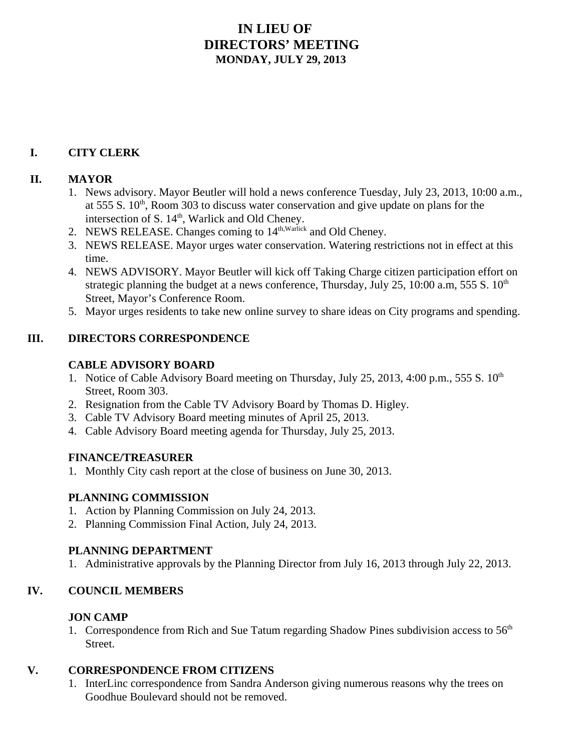# **IN LIEU OF DIRECTORS' MEETING MONDAY, JULY 29, 2013**

# **I. CITY CLERK**

#### **II. MAYOR**

- 1. News advisory. Mayor Beutler will hold a news conference Tuesday, July 23, 2013, 10:00 a.m., at 555 S.  $10<sup>th</sup>$ , Room 303 to discuss water conservation and give update on plans for the intersection of S. 14<sup>th</sup>, Warlick and Old Cheney.
- 2. NEWS RELEASE. Changes coming to  $14^{\text{th},\text{Warlick}}$  and Old Cheney.
- 3. NEWS RELEASE. Mayor urges water conservation. Watering restrictions not in effect at this time.
- 4. NEWS ADVISORY. Mayor Beutler will kick off Taking Charge citizen participation effort on strategic planning the budget at a news conference, Thursday, July 25, 10:00 a.m, 555 S.  $10<sup>th</sup>$ Street, Mayor's Conference Room.
- 5. Mayor urges residents to take new online survey to share ideas on City programs and spending.

#### **III. DIRECTORS CORRESPONDENCE**

#### **CABLE ADVISORY BOARD**

- 1. Notice of Cable Advisory Board meeting on Thursday, July 25, 2013, 4:00 p.m., 555 S.  $10^{th}$ Street, Room 303.
- 2. Resignation from the Cable TV Advisory Board by Thomas D. Higley.
- 3. Cable TV Advisory Board meeting minutes of April 25, 2013.
- 4. Cable Advisory Board meeting agenda for Thursday, July 25, 2013.

#### **FINANCE/TREASURER**

1. Monthly City cash report at the close of business on June 30, 2013.

## **PLANNING COMMISSION**

- 1. Action by Planning Commission on July 24, 2013.
- 2. Planning Commission Final Action, July 24, 2013.

#### **PLANNING DEPARTMENT**

1. Administrative approvals by the Planning Director from July 16, 2013 through July 22, 2013.

## **IV. COUNCIL MEMBERS**

## **JON CAMP**

1. Correspondence from Rich and Sue Tatum regarding Shadow Pines subdivision access to 56<sup>th</sup> Street.

## **V. CORRESPONDENCE FROM CITIZENS**

1. InterLinc correspondence from Sandra Anderson giving numerous reasons why the trees on Goodhue Boulevard should not be removed.